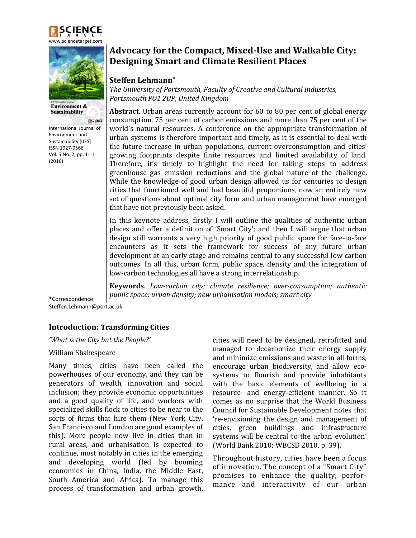



**Environment & Sustainability** 

SCIENCE International Journal of Environment and Sustainability [IJES] ISSN 1927-9566 Vol. 5 No. 2, pp. 1-11 (2016)

# **Advocacy for the Compact, Mixed-Use and Walkable City: Designing Smart and Climate Resilient Places**

## **Steffen Lehmann\***

*The University of Portsmouth, Faculty of Creative and Cultural Industries, Portsmouth PO1 2UP, United Kingdom*

**Abstract.** Urban areas currently account for 60 to 80 per cent of global energy consumption, 75 per cent of carbon emissions and more than 75 per cent of the world's natural resources. A conference on the appropriate transformation of urban systems is therefore important and timely, as it is essential to deal with the future increase in urban populations, current overconsumption and cities' growing footprints despite finite resources and limited availability of land. Therefore, it's timely to highlight the need for taking steps to address greenhouse gas emission reductions and the global nature of the challenge. While the knowledge of good urban design allowed us for centuries to design cities that functioned well and had beautiful proportions, now an entirely new set of questions about optimal city form and urban management have emerged that have not previously been asked.

In this keynote address, firstly I will outline the qualities of authentic urban places and offer a definition of 'Smart City'; and then I will argue that urban design still warrants a very high priority of good public space for face-to-face encounters as it sets the framework for success of any future urban development at an early stage and remains central to any successful low carbon outcomes. In all this, urban form, public space, density and the integration of low-carbon technologies all have a strong interrelationship.

**Keywords***. Low-carbon city; climate resilience; over-consumption; authentic public space; urban density; new urbanisation models; smart city*

\*Correspondence: Steffen.Lehmann@port.ac.uk

# **Introduction: Transforming Cities**

*'What is the City but the People?'*

#### William Shakespeare

Many times, cities have been called the powerhouses of our economy, and they can be generators of wealth, innovation and social inclusion; they provide economic opportunities and a good quality of life, and workers with specialized skills flock to cities to be near to the sorts of firms that hire them (New York City, San Francisco and London are good examples of this). More people now live in cities than in rural areas, and urbanisation is expected to continue, most notably in cities in the emerging and developing world (led by booming economies in China, India, the Middle East, South America and Africa). To manage this process of transformation and urban growth,

cities will need to be designed, retrofitted and managed to decarbonize their energy supply and minimize emissions and waste in all forms, encourage urban biodiversity, and allow ecosystems to flourish and provide inhabitants with the basic elements of wellbeing in a resource- and energy-efficient manner. So it comes as no surprise that the World Business Council for Sustainable Development notes that 're-envisioning the design and management of cities, green buildings and infrastructure systems will be central to the urban evolution' (World Bank 2010; WBCSD 2010, p. 39).

Throughout history, cities have been a focus of innovation. The concept of a "Smart City" promises to enhance the quality, performance and interactivity of our urban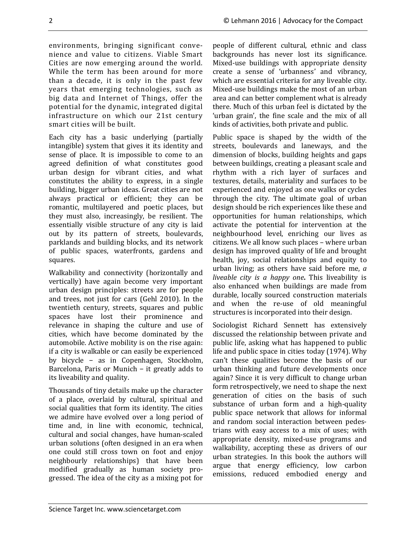environments, bringing significant convenience and value to citizens. Viable Smart Cities are now emerging around the world. While the term has been around for more than a decade, it is only in the past few years that emerging technologies, such as big data and Internet of Things, offer the potential for the dynamic, integrated digital infrastructure on which our 21st century smart cities will be built.

Each city has a basic underlying (partially intangible) system that gives it its identity and sense of place. It is impossible to come to an agreed definition of what constitutes good urban design for vibrant cities, and what constitutes the ability to express, in a single building, bigger urban ideas. Great cities are not always practical or efficient; they can be romantic, multilayered and poetic places, but they must also, increasingly, be resilient. The essentially visible structure of any city is laid out by its pattern of streets, boulevards, parklands and building blocks, and its network of public spaces, waterfronts, gardens and squares.

Walkability and connectivity (horizontally and vertically) have again become very important urban design principles: streets are for people and trees, not just for cars (Gehl 2010). In the twentieth century, streets, squares and public spaces have lost their prominence and relevance in shaping the culture and use of cities, which have become dominated by the automobile. Active mobility is on the rise again: if a city is walkable or can easily be experienced by bicycle − as in Copenhagen, Stockholm, Barcelona, Paris or Munich − it greatly adds to its liveability and quality.

Thousands of tiny details make up the character of a place, overlaid by cultural, spiritual and social qualities that form its identity. The cities we admire have evolved over a long period of time and, in line with economic, technical, cultural and social changes, have human-scaled urban solutions (often designed in an era when one could still cross town on foot and enjoy neighbourly relationships) that have been modified gradually as human society progressed. The idea of the city as a mixing pot for people of different cultural, ethnic and class backgrounds has never lost its significance. Mixed-use buildings with appropriate density create a sense of 'urbanness' and vibrancy, which are essential criteria for any liveable city. Mixed-use buildings make the most of an urban area and can better complement what is already there. Much of this urban feel is dictated by the 'urban grain', the fine scale and the mix of all kinds of activities, both private and public.

Public space is shaped by the width of the streets, boulevards and laneways, and the dimension of blocks, building heights and gaps between buildings, creating a pleasant scale and rhythm with a rich layer of surfaces and textures, details, materiality and surfaces to be experienced and enjoyed as one walks or cycles through the city. The ultimate goal of urban design should be rich experiences like these and opportunities for human relationships, which activate the potential for intervention at the neighbourhood level, enriching our lives as citizens. We all know such places – where urban design has improved quality of life and brought health, joy, social relationships and equity to urban living; as others have said before me, *a liveable city is a happy one***.** This liveability is also enhanced when buildings are made from durable, locally sourced construction materials and when the re-use of old meaningful structures is incorporated into their design.

Sociologist Richard Sennett has extensively discussed the relationship between private and public life, asking what has happened to public life and public space in cities today (1974). Why can't these qualities become the basis of our urban thinking and future developments once again? Since it is very difficult to change urban form retrospectively, we need to shape the next generation of cities on the basis of such substance of urban form and a high-quality public space network that allows for informal and random social interaction between pedestrians with easy access to a mix of uses; with appropriate density, mixed-use programs and walkability, accepting these as drivers of our urban strategies. In this book the authors will argue that energy efficiency, low carbon emissions, reduced embodied energy and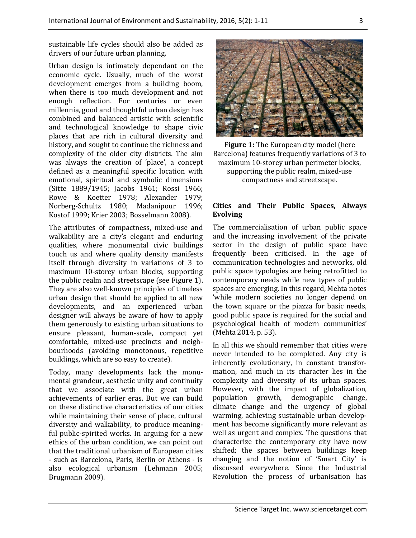sustainable life cycles should also be added as drivers of our future urban planning.

Urban design is intimately dependant on the economic cycle. Usually, much of the worst development emerges from a building boom, when there is too much development and not enough reflection. For centuries or even millennia, good and thoughtful urban design has combined and balanced artistic with scientific and technological knowledge to shape civic places that are rich in cultural diversity and history, and sought to continue the richness and complexity of the older city districts. The aim was always the creation of 'place', a concept defined as a meaningful specific location with emotional, spiritual and symbolic dimensions (Sitte 1889/1945; Jacobs 1961; Rossi 1966; Rowe & Koetter 1978; Alexander 1979; Norberg-Schultz 1980; Madanipour 1996; Kostof 1999; Krier 2003; Bosselmann 2008).

The attributes of compactness, mixed-use and walkability are a city's elegant and enduring qualities, where monumental civic buildings touch us and where quality density manifests itself through diversity in variations of 3 to maximum 10-storey urban blocks, supporting the public realm and streetscape (see Figure 1). They are also well-known principles of timeless urban design that should be applied to all new developments, and an experienced urban designer will always be aware of how to apply them generously to existing urban situations to ensure pleasant, human-scale, compact yet comfortable, mixed-use precincts and neighbourhoods (avoiding monotonous, repetitive buildings, which are so easy to create).

Today, many developments lack the monumental grandeur, aesthetic unity and continuity that we associate with the great urban achievements of earlier eras. But we can build on these distinctive characteristics of our cities while maintaining their sense of place, cultural diversity and walkability, to produce meaningful public-spirited works. In arguing for a new ethics of the urban condition, we can point out that the traditional urbanism of European cities - such as Barcelona, Paris, Berlin or Athens - is also ecological urbanism (Lehmann 2005; Brugmann 2009).



**Figure 1:** The European city model (here Barcelona) features frequently variations of 3 to maximum 10-storey urban perimeter blocks, supporting the public realm, mixed-use compactness and streetscape.

#### **Cities and Their Public Spaces, Always Evolving**

The commercialisation of urban public space and the increasing involvement of the private sector in the design of public space have frequently been criticised. In the age of communication technologies and networks, old public space typologies are being retrofitted to contemporary needs while new types of public spaces are emerging. In this regard, Mehta notes 'while modern societies no longer depend on the town square or the piazza for basic needs, good public space is required for the social and psychological health of modern communities' (Mehta 2014, p. 53).

In all this we should remember that cities were never intended to be completed. Any city is inherently evolutionary, in constant transformation, and much in its character lies in the complexity and diversity of its urban spaces. However, with the impact of globalization, population growth, demographic change, climate change and the urgency of global warming, achieving sustainable urban development has become significantly more relevant as well as urgent and complex. The questions that characterize the contemporary city have now shifted; the spaces between buildings keep changing and the notion of 'Smart City' is discussed everywhere. Since the Industrial Revolution the process of urbanisation has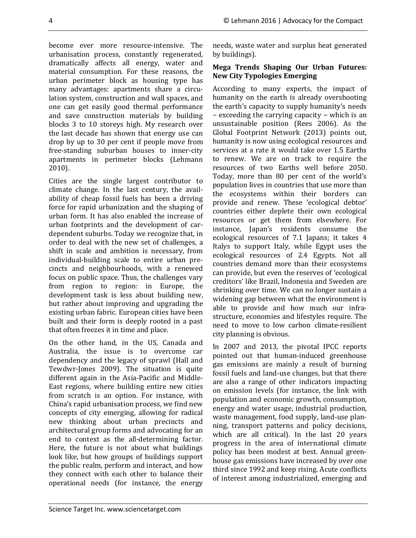become ever more resource-intensive. The urbanisation process, constantly regenerated, dramatically affects all energy, water and material consumption. For these reasons, the urban perimeter block as housing type has many advantages: apartments share a circulation system, construction and wall spaces, and one can get easily good thermal performance and save construction materials by building blocks 3 to 10 storeys high. My research over the last decade has shown that energy use can drop by up to 30 per cent if people move from free-standing suburban houses to inner-city apartments in perimeter blocks (Lehmann 2010).

Cities are the single largest contributor to climate change. In the last century, the availability of cheap fossil fuels has been a driving force for rapid urbanization and the shaping of urban form. It has also enabled the increase of urban footprints and the development of cardependent suburbs. Today we recognize that, in order to deal with the new set of challenges, a shift in scale and ambition is necessary, from individual-building scale to entire urban precincts and neighbourhoods, with a renewed focus on public space. Thus, the challenges vary from region to region: in Europe, the development task is less about building new, but rather about improving and upgrading the existing urban fabric. European cities have been built and their form is deeply rooted in a past that often freezes it in time and place.

On the other hand, in the US, Canada and Australia, the issue is to overcome car dependency and the legacy of sprawl (Hall and Tewdwr-Jones 2009). The situation is quite different again in the Asia-Pacific and Middle-East regions, where building entire new cities from scratch is an option. For instance, with China's rapid urbanisation process, we find new concepts of city emerging, allowing for radical new thinking about urban precincts and architectural group forms and advocating for an end to context as the all-determining factor. Here, the future is not about what buildings look like, but how groups of buildings support the public realm, perform and interact, and how they connect with each other to balance their operational needs (for instance, the energy needs, waste water and surplus heat generated by buildings).

#### **Mega Trends Shaping Our Urban Futures: New City Typologies Emerging**

According to many experts, the impact of humanity on the earth is already overshooting the earth's capacity to supply humanity's needs − exceeding the carrying capacity − which is an unsustainable position (Rees 2006). As the Global Footprint Network (2013) points out, humanity is now using ecological resources and services at a rate it would take over 1.5 Earths to renew. We are on track to require the resources of two Earths well before 2050. Today, more than 80 per cent of the world's population lives in countries that use more than the ecosystems within their borders can provide and renew. These 'ecological debtor' countries either deplete their own ecological resources or get them from elsewhere. For instance, Japan's residents consume the ecological resources of 7.1 Japans; it takes 4 Italys to support Italy, while Egypt uses the ecological resources of 2.4 Egypts. Not all countries demand more than their ecosystems can provide, but even the reserves of 'ecological creditors' like Brazil, Indonesia and Sweden are shrinking over time. We can no longer sustain a widening gap between what the environment is able to provide and how much our infrastructure, economies and lifestyles require. The need to move to low carbon climate-resilient city planning is obvious.

In 2007 and 2013, the pivotal IPCC reports pointed out that human-induced greenhouse gas emissions are mainly a result of burning fossil fuels and land-use changes, but that there are also a range of other indicators impacting on emission levels (for instance, the link with population and economic growth, consumption, energy and water usage, industrial production, waste management, food supply, land-use planning, transport patterns and policy decisions, which are all critical). In the last 20 years progress in the area of international climate policy has been modest at best. Annual greenhouse gas emissions have increased by over one third since 1992 and keep rising. Acute conflicts of interest among industrialized, emerging and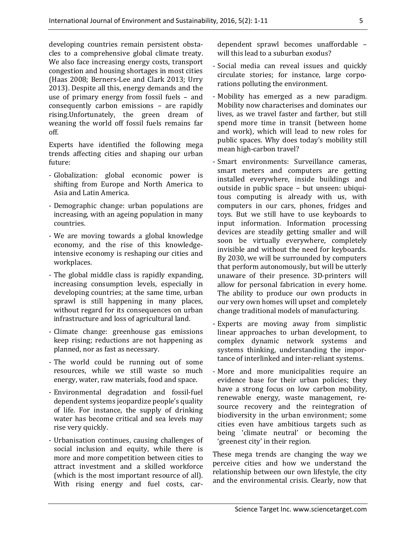developing countries remain persistent obstacles to a comprehensive global climate treaty. We also face increasing energy costs, transport congestion and housing shortages in most cities (Haas 2008; Berners-Lee and Clark 2013; Urry 2013). Despite all this, energy demands and the use of primary energy from fossil fuels – and consequently carbon emissions – are rapidly rising.Unfortunately, the green dream of weaning the world off fossil fuels remains far off.

Experts have identified the following mega trends affecting cities and shaping our urban future:

- Globalization: global economic power is shifting from Europe and North America to Asia and Latin America.
- Demographic change: urban populations are increasing, with an ageing population in many countries.
- We are moving towards a global knowledge economy, and the rise of this knowledgeintensive economy is reshaping our cities and workplaces.
- The global middle class is rapidly expanding, increasing consumption levels, especially in developing countries; at the same time, urban sprawl is still happening in many places, without regard for its consequences on urban infrastructure and loss of agricultural land.
- Climate change: greenhouse gas emissions keep rising; reductions are not happening as planned, nor as fast as necessary.
- The world could be running out of some resources, while we still waste so much energy, water, raw materials, food and space.
- Environmental degradation and fossil-fuel dependent systems jeopardize people's quality of life. For instance, the supply of drinking water has become critical and sea levels may rise very quickly.
- Urbanisation continues, causing challenges of social inclusion and equity, while there is more and more competition between cities to attract investment and a skilled workforce (which is the most important resource of all). With rising energy and fuel costs, car-

dependent sprawl becomes unaffordable – will this lead to a suburban exodus?

- Social media can reveal issues and quickly circulate stories; for instance, large corporations polluting the environment.
- Mobility has emerged as a new paradigm. Mobility now characterises and dominates our lives, as we travel faster and farther, but still spend more time in transit (between home and work), which will lead to new roles for public spaces. Why does today's mobility still mean high-carbon travel?
- Smart environments: Surveillance cameras, smart meters and computers are getting installed everywhere, inside buildings and outside in public space − but unseen: ubiquitous computing is already with us, with computers in our cars, phones, fridges and toys. But we still have to use keyboards to input information. Information processing devices are steadily getting smaller and will soon be virtually everywhere, completely invisible and without the need for keyboards. By 2030, we will be surrounded by computers that perform autonomously, but will be utterly unaware of their presence. 3D-printers will allow for personal fabrication in every home. The ability to produce our own products in our very own homes will upset and completely change traditional models of manufacturing.
- Experts are moving away from simplistic linear approaches to urban development, to complex dynamic network systems and systems thinking, understanding the importance of interlinked and inter-reliant systems.
- More and more municipalities require an evidence base for their urban policies; they have a strong focus on low carbon mobility, renewable energy, waste management, resource recovery and the reintegration of biodiversity in the urban environment; some cities even have ambitious targets such as being 'climate neutral' or becoming the 'greenest city' in their region.

These mega trends are changing the way we perceive cities and how we understand the relationship between our own lifestyle, the city and the environmental crisis. Clearly, now that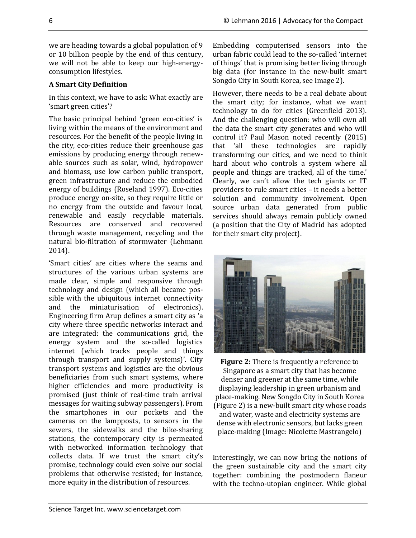we are heading towards a global population of 9 or 10 billion people by the end of this century, we will not be able to keep our high-energyconsumption lifestyles.

## **A Smart City Definition**

In this context, we have to ask: What exactly are 'smart green cities'?

The basic principal behind 'green eco-cities' is living within the means of the environment and resources. For the benefit of the people living in the city, eco-cities reduce their greenhouse gas emissions by producing energy through renewable sources such as solar, wind, hydropower and biomass, use low carbon public transport, green infrastructure and reduce the embodied energy of buildings (Roseland 1997). Eco-cities produce energy on-site, so they require little or no energy from the outside and favour local, renewable and easily recyclable materials. Resources are conserved and recovered through waste management, recycling and the natural bio-filtration of stormwater (Lehmann 2014).

'Smart cities' are cities where the seams and structures of the various urban systems are made clear, simple and responsive through technology and design (which all became possible with the ubiquitous internet connectivity and the miniaturisation of electronics). Engineering firm Arup defines a smart city as 'a city where three specific networks interact and are integrated: the communications grid, the energy system and the so-called logistics internet (which tracks people and things through transport and supply systems)'. City transport systems and logistics are the obvious beneficiaries from such smart systems, where higher efficiencies and more productivity is promised (just think of real-time train arrival messages for waiting subway passengers). From the smartphones in our pockets and the cameras on the lampposts, to sensors in the sewers, the sidewalks and the bike-sharing stations, the contemporary city is permeated with networked information technology that collects data. If we trust the smart city's promise, technology could even solve our social problems that otherwise resisted; for instance, more equity in the distribution of resources.

Embedding computerised sensors into the urban fabric could lead to the so-called 'internet of things' that is promising better living through big data (for instance in the new-built smart Songdo City in South Korea, see Image 2).

However, there needs to be a real debate about the smart city; for instance, what we want technology to do for cities (Greenfield 2013). And the challenging question: who will own all the data the smart city generates and who will control it? Paul Mason noted recently (2015) that 'all these technologies are rapidly transforming our cities, and we need to think hard about who controls a system where all people and things are tracked, all of the time.' Clearly, we can't allow the tech giants or IT providers to rule smart cities – it needs a better solution and community involvement. Open source urban data generated from public services should always remain publicly owned (a position that the City of Madrid has adopted for their smart city project).



**Figure 2:** There is frequently a reference to Singapore as a smart city that has become denser and greener at the same time, while displaying leadership in green urbanism and place-making. New Songdo City in South Korea (Figure 2) is a new-built smart city whose roads and water, waste and electricity systems are dense with electronic sensors, but lacks green place-making (Image: Nicolette Mastrangelo)

Interestingly, we can now bring the notions of the green sustainable city and the smart city together: combining the postmodern flaneur with the techno-utopian engineer. While global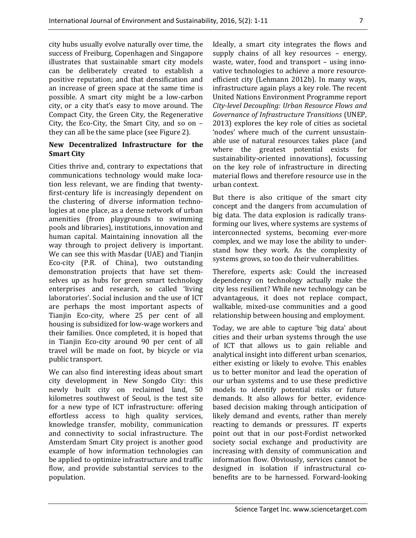city hubs usually evolve naturally over time, the success of Freiburg, Copenhagen and Singapore illustrates that sustainable smart city models can be deliberately created to establish a positive reputation; and that densification and an increase of green space at the same time is possible. A smart city might be a low-carbon city, or a city that's easy to move around. The Compact City, the Green City, the Regenerative City, the Eco-City, the Smart City, and so on – they can all be the same place (see Figure 2).

#### **New Decentralized Infrastructure for the Smart City**

Cities thrive and, contrary to expectations that communications technology would make location less relevant, we are finding that twentyfirst-century life is increasingly dependent on the clustering of diverse information technologies at one place, as a dense network of urban amenities (from playgrounds to swimming pools and libraries), institutions, innovation and human capital. Maintaining innovation all the way through to project delivery is important. We can see this with Masdar (UAE) and Tianjin Eco-city (P.R. of China), two outstanding demonstration projects that have set themselves up as hubs for green smart technology enterprises and research, so called 'living laboratories'. Social inclusion and the use of ICT are perhaps the most important aspects of Tianjin Eco-city, where 25 per cent of all housing is subsidized for low-wage workers and their families. Once completed, it is hoped that in Tianjin Eco-city around 90 per cent of all travel will be made on foot, by bicycle or via public transport.

We can also find interesting ideas about smart city development in New Songdo City: this newly built city on reclaimed land, 50 kilometres southwest of Seoul, is the test site for a new type of ICT infrastructure: offering effortless access to high quality services, knowledge transfer, mobility, communication and connectivity to social infrastructure. The Amsterdam Smart City project is another good example of how information technologies can be applied to optimize infrastructure and traffic flow, and provide substantial services to the population.

Ideally, a smart city integrates the flows and supply chains of all key resources – energy, waste, water, food and transport – using innovative technologies to achieve a more resourceefficient city (Lehmann 2012b). In many ways, infrastructure again plays a key role. The recent United Nations Environment Programme report *City-level Decoupling: Urban Resource Flows and Governance of Infrastructure Transitions* (UNEP, 2013) explores the key role of cities as societal 'nodes' where much of the current unsustainable use of natural resources takes place (and where the greatest potential exists for sustainability-oriented innovations), focussing on the key role of infrastructure in directing material flows and therefore resource use in the urban context.

But there is also critique of the smart city concept and the dangers from accumulation of big data. The data explosion is radically transforming our lives, where systems are systems of interconnected systems, becoming ever-more complex, and we may lose the ability to understand how they work. As the complexity of systems grows, so too do their vulnerabilities.

Therefore, experts ask: Could the increased dependency on technology actually make the city less resilient? While new technology can be advantageous, it does not replace compact, walkable, mixed-use communities and a good relationship between housing and employment.

Today, we are able to capture 'big data' about cities and their urban systems through the use of ICT that allows us to gain reliable and analytical insight into different urban scenarios, either existing or likely to evolve. This enables us to better monitor and lead the operation of our urban systems and to use these predictive models to identify potential risks or future demands. It also allows for better, evidencebased decision making through anticipation of likely demand and events, rather than merely reacting to demands or pressures. IT experts point out that in our post-Fordist networked society social exchange and productivity are increasing with density of communication and information flow. Obviously, services cannot be designed in isolation if infrastructural cobenefits are to be harnessed. Forward-looking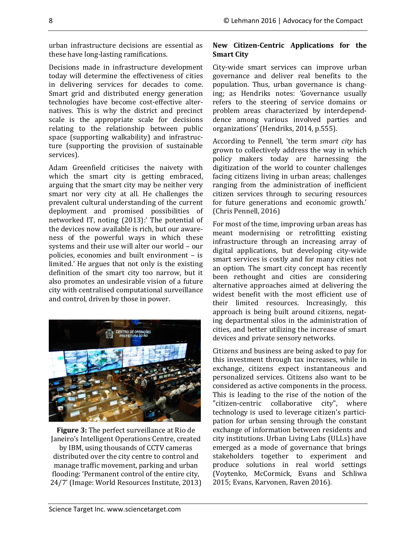urban infrastructure decisions are essential as these have long-lasting ramifications.

Decisions made in infrastructure development today will determine the effectiveness of cities in delivering services for decades to come. Smart grid and distributed energy generation technologies have become cost-effective alternatives. This is why the district and precinct scale is the appropriate scale for decisions relating to the relationship between public space (supporting walkability) and infrastructure (supporting the provision of sustainable services).

Adam Greenfield criticises the naivety with which the smart city is getting embraced, arguing that the smart city may be neither very smart nor very city at all. He challenges the prevalent cultural understanding of the current deployment and promised possibilities of networked IT, noting (2013):' The potential of the devices now available is rich, but our awareness of the powerful ways in which these systems and their use will alter our world – our policies, economies and built environment – is limited.' He argues that not only is the existing definition of the smart city too narrow, but it also promotes an undesirable vision of a future city with centralised computational surveillance and control, driven by those in power.



**Figure 3:** The perfect surveillance at Rio de Janeiro's Intelligent Operations Centre, created by IBM, using thousands of CCTV cameras distributed over the city centre to control and manage traffic movement, parking and urban flooding: 'Permanent control of the entire city, 24/7' (Image: World Resources Institute, 2013)

# **New Citizen-Centric Applications for the Smart City**

City-wide smart services can improve urban governance and deliver real benefits to the population. Thus, urban governance is changing; as Hendriks notes: 'Governance usually refers to the steering of service domains or problem areas characterized by interdependdence among various involved parties and organizations' (Hendriks, 2014, p.555).

According to Pennell, 'the term *smart city* has grown to collectively address the way in which policy makers today are harnessing the digitization of the world to counter challenges facing citizens living in urban areas; challenges ranging from the administration of inefficient citizen services through to securing resources for future generations and economic growth.' (Chris Pennell, 2016)

For most of the time, improving urban areas has meant modernising or retrofitting existing infrastructure through an increasing array of digital applications, but developing city-wide smart services is costly and for many cities not an option. The smart city concept has recently been rethought and cities are considering alternative approaches aimed at delivering the widest benefit with the most efficient use of their limited resources. Increasingly, this approach is being built around citizens, negating departmental silos in the administration of cities, and better utilizing the increase of smart devices and private sensory networks.

Citizens and business are being asked to pay for this investment through tax increases, while in exchange, citizens expect instantaneous and personalized services. Citizens also want to be considered as active components in the process. This is leading to the rise of the notion of the "citizen-centric collaborative city", where technology is used to leverage citizen's participation for urban sensing through the constant exchange of information between residents and city institutions. Urban Living Labs (ULLs) have emerged as a mode of governance that brings stakeholders together to experiment and produce solutions in real world settings (Voytenko, McCormick, Evans and Schliwa 2015; Evans, Karvonen, Raven 2016).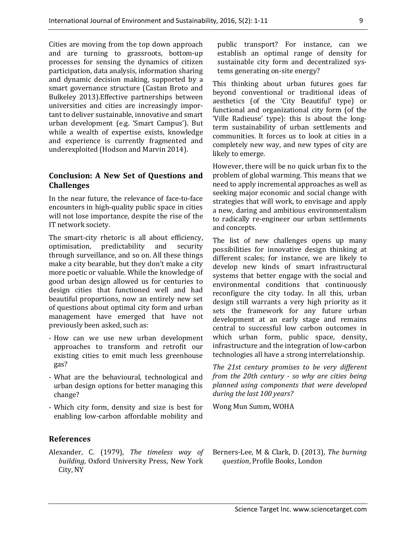Cities are moving from the top down approach and are turning to grassroots, bottom-up processes for sensing the dynamics of citizen participation, data analysis, information sharing and dynamic decision making, supported by a smart governance structure (Castan Broto and Bulkeley 2013).Effective partnerships between universities and cities are increasingly important to deliver sustainable, innovative and smart urban development (e.g. 'Smart Campus'). But while a wealth of expertise exists, knowledge and experience is currently fragmented and underexploited (Hodson and Marvin 2014).

## **Conclusion: A New Set of Questions and Challenges**

In the near future, the relevance of face-to-face encounters in high-quality public space in cities will not lose importance, despite the rise of the IT network society.

The smart-city rhetoric is all about efficiency, optimisation, predictability and security through surveillance, and so on. All these things make a city bearable, but they don't make a city more poetic or valuable. While the knowledge of good urban design allowed us for centuries to design cities that functioned well and had beautiful proportions, now an entirely new set of questions about optimal city form and urban management have emerged that have not previously been asked, such as:

- How can we use new urban development approaches to transform and retrofit our existing cities to emit much less greenhouse gas?
- What are the behavioural, technological and urban design options for better managing this change?
- Which city form, density and size is best for enabling low-carbon affordable mobility and

#### **References**

Alexander, C. (1979), *The timeless way of building*, Oxford University Press, New York City, NY

public transport? For instance, can we establish an optimal range of density for sustainable city form and decentralized systems generating on-site energy?

This thinking about urban futures goes far beyond conventional or traditional ideas of aesthetics (of the 'City Beautiful' type) or functional and organizational city form (of the 'Ville Radieuse' type): this is about the longterm sustainability of urban settlements and communities. It forces us to look at cities in a completely new way, and new types of city are likely to emerge.

However, there will be no quick urban fix to the problem of global warming. This means that we need to apply incremental approaches as well as seeking major economic and social change with strategies that will work, to envisage and apply a new, daring and ambitious environmentalism to radically re-engineer our urban settlements and concepts.

The list of new challenges opens up many possibilities for innovative design thinking at different scales; for instance, we are likely to develop new kinds of smart infrastructural systems that better engage with the social and environmental conditions that continuously reconfigure the city today. In all this, urban design still warrants a very high priority as it sets the framework for any future urban development at an early stage and remains central to successful low carbon outcomes in which urban form, public space, density, infrastructure and the integration of low-carbon technologies all have a strong interrelationship.

*The 21st century promises to be very different from the 20th century - so why are cities being planned using components that were developed during the last 100 years?*

Wong Mun Summ, WOHA

Berners-Lee, M & Clark, D. (2013), *The burning question*, Profile Books, London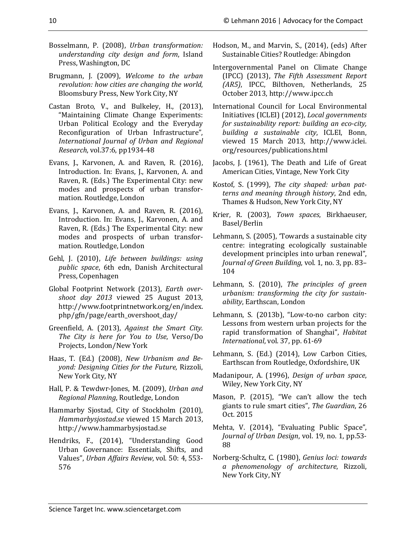Hendriks, F., (2014), "Understanding Good Urban Governance: Essentials, Shifts, and Values", *Urban Affairs Review*, vol. 50: 4, 553- 576

*revolution: how cities are changing the world*, Bloomsbury Press, New York City, NY Castan Broto, V., and Bulkeley, H., (2013),

Brugmann, J. (2009), *Welcome to the urban* 

Press, Washington, DC

- "Maintaining Climate Change Experiments: Urban Political Ecology and the Everyday Reconfiguration of Urban Infrastructure", *International Journal of Urban and Regional Research*, vol.37:6, pp1934-48
- Evans, J., Karvonen, A. and Raven, R. (2016), Introduction. In: Evans, J., Karvonen, A. and Raven, R. (Eds.) The Experimental City: new modes and prospects of urban transformation. Routledge, London
- Evans, J., Karvonen, A. and Raven, R. (2016), Introduction. In: Evans, J., Karvonen, A. and Raven, R. (Eds.) The Experimental City: new modes and prospects of urban transformation. Routledge, London
- Gehl, J. (2010), *Life between buildings: using public space*, 6th edn, Danish Architectural Press, Copenhagen
- Global Footprint Network (2013), *Earth overshoot day 2013* viewed 25 August 2013, http://www.footprintnetwork.org/en/index. php/gfn/page/earth\_overshoot\_day/
- Greenfield, A. (2013), *Against the Smart City. The City is here for You to Use*, Verso/Do Projects, London/New York
- Haas, T. (Ed.) (2008), *New Urbanism and Beyond: Designing Cities for the Future,* Rizzoli, New York City, NY
- Hall, P. & Tewdwr-Jones, M. (2009), *Urban and*

Hammarby Sjostad, City of Stockholm (2010), *Hammarbysjostad.se* viewed 15 March 2013,

- *Regional Planning*, Routledge, London
- 
- 
- Bosselmann, P. (2008), *Urban transformation: understanding city design and form*, Island Hodson, M., and Marvin, S., (2014), (eds) After Sustainable Cities? Routledge: Abingdon
	- Intergovernmental Panel on Climate Change (IPCC) (2013), *The Fifth Assessment Report (AR5)*, IPCC, Bilthoven, Netherlands, 25 October 2013, http://www.ipcc.ch
	- International Council for Local Environmental Initiatives (ICLEI) (2012), *Local governments for sustainability report: building an eco-city, building a sustainable city*, ICLEI, Bonn, viewed 15 March 2013, http://www.iclei. org/resources/publications.html
	- Jacobs, J. (1961), The Death and Life of Great American Cities, Vintage, New York City
	- Kostof, S. (1999), *The city shaped: urban patterns and meaning through history*, 2nd edn, Thames & Hudson, New York City, NY
	- Krier, R. (2003), *Town spaces*, Birkhaeuser, Basel/Berlin
	- Lehmann, S. (2005), 'Towards a sustainable city centre: integrating ecologically sustainable development principles into urban renewal", *Journal of Green Building*, vol. 1, no. 3, pp. 83– 104
	- Lehmann, S. (2010), *The principles of green urbanism: transforming the city for sustainability*, Earthscan, London
	- Lehmann, S. (2013b), "Low-to-no carbon city: Lessons from western urban projects for the rapid transformation of Shanghai", *Habitat International*, vol. 37, pp. 61-69
	- Lehmann, S. (Ed.) (2014), Low Carbon Cities, Earthscan from Routledge, Oxfordshire, UK
	- Madanipour, A. (1996), *Design of urban space*, Wiley, New York City, NY
	- Mason, P. (2015), "We can't allow the tech giants to rule smart cities", *The Guardian*, 26 Oct. 2015
	- Mehta, V. (2014), "Evaluating Public Space", *Journal of Urban Design*, vol. 19, no. 1, pp.53- 88
	- Norberg-Schultz, C. (1980), *Genius loci: towards a phenomenology of architecture*, Rizzoli, New York City, NY